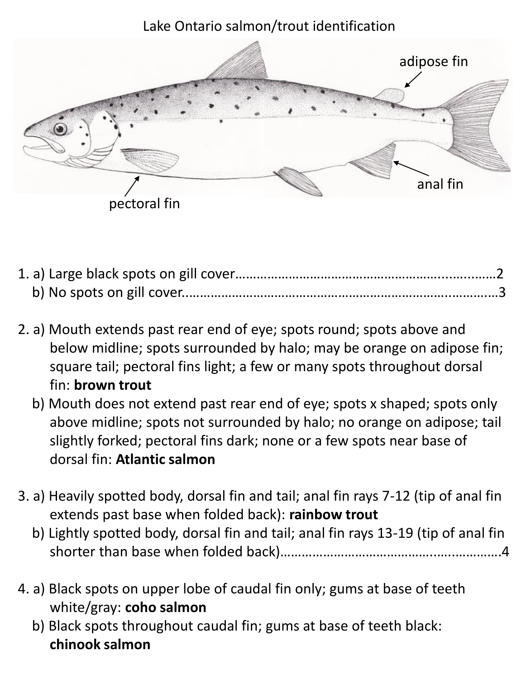## Lake Ontario salmon/trout identification



- 2. a) Mouth extends past rear end of eye; spots round; spots above and below midline; spots surrounded by halo; may be orange on adipose fin; square tail; pectoral fins light; a few or many spots throughout dorsal fin: **brown trout**
	- b) Mouth does not extend past rear end of eye; spots x shaped; spots only above midline; spots not surrounded by halo; no orange on adipose; tail slightly forked; pectoral fins dark; none or a few spots near base of dorsal fin: **Atlantic salmon**
- 3. a) Heavily spotted body, dorsal fin and tail; anal fin rays 7-12 (tip of anal fin extends past base when folded back): **rainbow trout**
	- b) Lightly spotted body, dorsal fin and tail; anal fin rays 13-19 (tip of anal fin shorter than base when folded back)……………………………………..…..………….4
- 4. a) Black spots on upper lobe of caudal fin only; gums at base of teeth white/gray: **coho salmon**
	- b) Black spots throughout caudal fin; gums at base of teeth black: **chinook salmon**